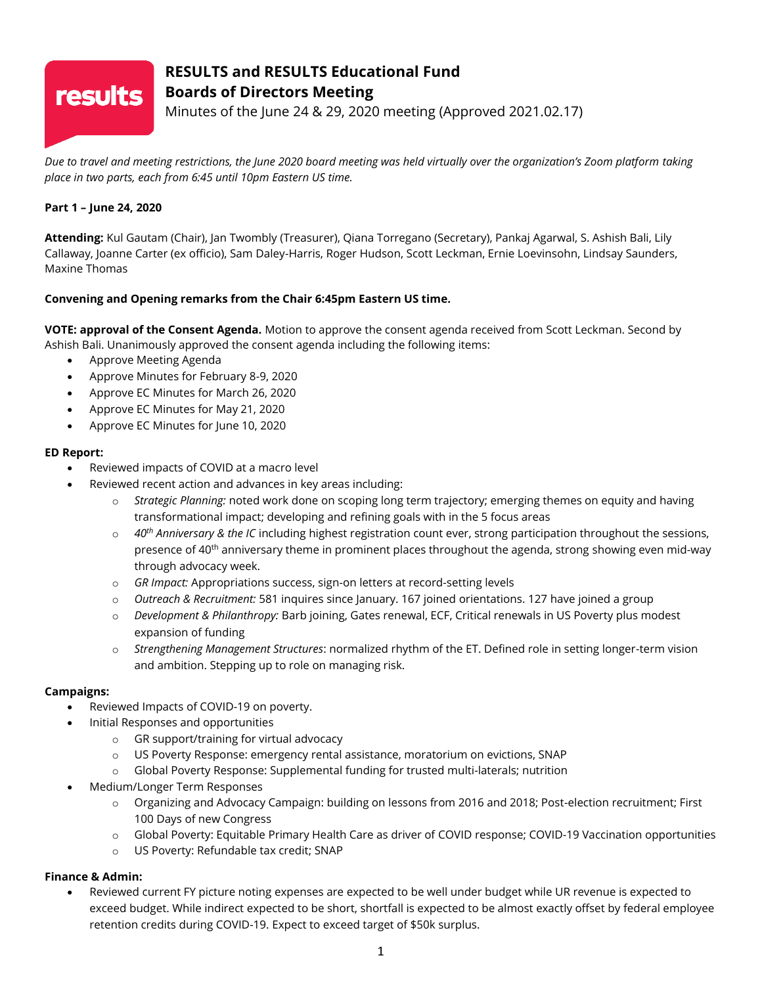# **results**

# **RESULTS and RESULTS Educational Fund Boards of Directors Meeting**

Minutes of the June 24 & 29, 2020 meeting (Approved 2021.02.17)

*Due to travel and meeting restrictions, the June 2020 board meeting was held virtually over the organization's Zoom platform taking place in two parts, each from 6:45 until 10pm Eastern US time.*

# **Part 1 – June 24, 2020**

**Attending:** Kul Gautam (Chair), Jan Twombly (Treasurer), Qiana Torregano (Secretary), Pankaj Agarwal, S. Ashish Bali, Lily Callaway, Joanne Carter (ex officio), Sam Daley-Harris, Roger Hudson, Scott Leckman, Ernie Loevinsohn, Lindsay Saunders, Maxine Thomas

# **Convening and Opening remarks from the Chair 6:45pm Eastern US time.**

**VOTE: approval of the Consent Agenda.** Motion to approve the consent agenda received from Scott Leckman. Second by Ashish Bali. Unanimously approved the consent agenda including the following items:

- Approve Meeting Agenda
- Approve Minutes for February 8-9, 2020
- Approve EC Minutes for March 26, 2020
- Approve EC Minutes for May 21, 2020
- Approve EC Minutes for June 10, 2020

# **ED Report:**

- Reviewed impacts of COVID at a macro level
	- Reviewed recent action and advances in key areas including:
		- o *Strategic Planning:* noted work done on scoping long term trajectory; emerging themes on equity and having transformational impact; developing and refining goals with in the 5 focus areas
		- o *40th Anniversary & the IC* including highest registration count ever, strong participation throughout the sessions, presence of 40<sup>th</sup> anniversary theme in prominent places throughout the agenda, strong showing even mid-way through advocacy week.
		- o *GR Impact:* Appropriations success, sign-on letters at record-setting levels
		- o *Outreach & Recruitment:* 581 inquires since January. 167 joined orientations. 127 have joined a group
		- o *Development & Philanthropy:* Barb joining, Gates renewal, ECF, Critical renewals in US Poverty plus modest expansion of funding
		- o *Strengthening Management Structures*: normalized rhythm of the ET. Defined role in setting longer-term vision and ambition. Stepping up to role on managing risk.

# **Campaigns:**

- Reviewed Impacts of COVID-19 on poverty.
- Initial Responses and opportunities
	- o GR support/training for virtual advocacy
	- o US Poverty Response: emergency rental assistance, moratorium on evictions, SNAP
	- o Global Poverty Response: Supplemental funding for trusted multi-laterals; nutrition
- Medium/Longer Term Responses
	- o Organizing and Advocacy Campaign: building on lessons from 2016 and 2018; Post-election recruitment; First 100 Days of new Congress
	- o Global Poverty: Equitable Primary Health Care as driver of COVID response; COVID-19 Vaccination opportunities
	- o US Poverty: Refundable tax credit; SNAP

# **Finance & Admin:**

• Reviewed current FY picture noting expenses are expected to be well under budget while UR revenue is expected to exceed budget. While indirect expected to be short, shortfall is expected to be almost exactly offset by federal employee retention credits during COVID-19. Expect to exceed target of \$50k surplus.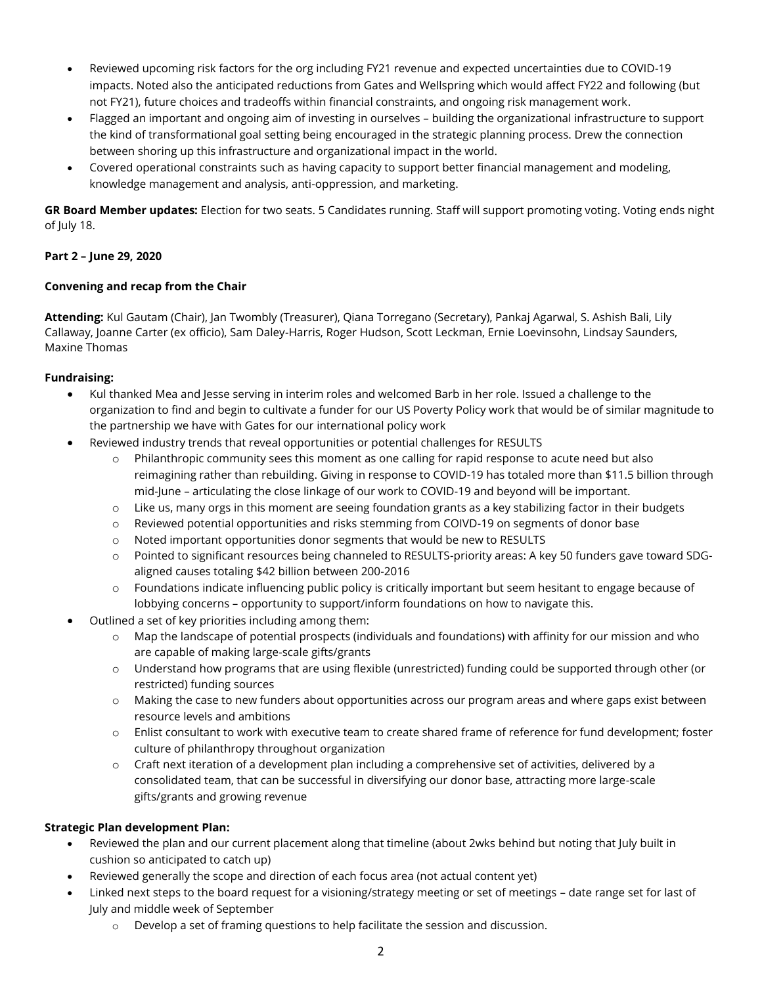- Reviewed upcoming risk factors for the org including FY21 revenue and expected uncertainties due to COVID-19 impacts. Noted also the anticipated reductions from Gates and Wellspring which would affect FY22 and following (but not FY21), future choices and tradeoffs within financial constraints, and ongoing risk management work.
- Flagged an important and ongoing aim of investing in ourselves building the organizational infrastructure to support the kind of transformational goal setting being encouraged in the strategic planning process. Drew the connection between shoring up this infrastructure and organizational impact in the world.
- Covered operational constraints such as having capacity to support better financial management and modeling, knowledge management and analysis, anti-oppression, and marketing.

**GR Board Member updates:** Election for two seats. 5 Candidates running. Staff will support promoting voting. Voting ends night of July 18.

# **Part 2 – June 29, 2020**

#### **Convening and recap from the Chair**

**Attending:** Kul Gautam (Chair), Jan Twombly (Treasurer), Qiana Torregano (Secretary), Pankaj Agarwal, S. Ashish Bali, Lily Callaway, Joanne Carter (ex officio), Sam Daley-Harris, Roger Hudson, Scott Leckman, Ernie Loevinsohn, Lindsay Saunders, Maxine Thomas

#### **Fundraising:**

- Kul thanked Mea and Jesse serving in interim roles and welcomed Barb in her role. Issued a challenge to the organization to find and begin to cultivate a funder for our US Poverty Policy work that would be of similar magnitude to the partnership we have with Gates for our international policy work
- Reviewed industry trends that reveal opportunities or potential challenges for RESULTS
	- o Philanthropic community sees this moment as one calling for rapid response to acute need but also reimagining rather than rebuilding. Giving in response to COVID-19 has totaled more than \$11.5 billion through mid-June – articulating the close linkage of our work to COVID-19 and beyond will be important.
	- o Like us, many orgs in this moment are seeing foundation grants as a key stabilizing factor in their budgets
	- o Reviewed potential opportunities and risks stemming from COIVD-19 on segments of donor base
	- o Noted important opportunities donor segments that would be new to RESULTS
	- o Pointed to significant resources being channeled to RESULTS-priority areas: A key 50 funders gave toward SDGaligned causes totaling \$42 billion between 200-2016
	- o Foundations indicate influencing public policy is critically important but seem hesitant to engage because of lobbying concerns – opportunity to support/inform foundations on how to navigate this.
- Outlined a set of key priorities including among them:
	- o Map the landscape of potential prospects (individuals and foundations) with affinity for our mission and who are capable of making large-scale gifts/grants
	- o Understand how programs that are using flexible (unrestricted) funding could be supported through other (or restricted) funding sources
	- $\circ$  Making the case to new funders about opportunities across our program areas and where gaps exist between resource levels and ambitions
	- o Enlist consultant to work with executive team to create shared frame of reference for fund development; foster culture of philanthropy throughout organization
	- $\circ$  Craft next iteration of a development plan including a comprehensive set of activities, delivered by a consolidated team, that can be successful in diversifying our donor base, attracting more large-scale gifts/grants and growing revenue

# **Strategic Plan development Plan:**

- Reviewed the plan and our current placement along that timeline (about 2wks behind but noting that July built in cushion so anticipated to catch up)
- Reviewed generally the scope and direction of each focus area (not actual content yet)
- Linked next steps to the board request for a visioning/strategy meeting or set of meetings date range set for last of July and middle week of September
	- $\circ$  Develop a set of framing questions to help facilitate the session and discussion.